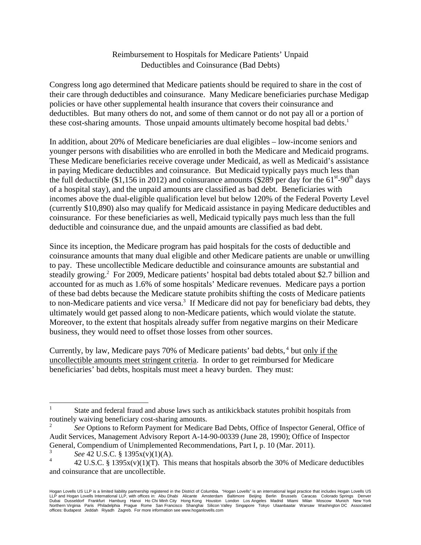## Reimbursement to Hospitals for Medicare Patients' Unpaid Deductibles and Coinsurance (Bad Debts)

Congress long ago determined that Medicare patients should be required to share in the cost of their care through deductibles and coinsurance. Many Medicare beneficiaries purchase Medigap policies or have other supplemental health insurance that covers their coinsurance and deductibles. But many others do not, and some of them cannot or do not pay all or a portion of these cost-sharing amounts. Those unpaid amounts ultimately become hospital bad debts.<sup>1</sup>

In addition, about 20% of Medicare beneficiaries are dual eligibles – low-income seniors and younger persons with disabilities who are enrolled in both the Medicare and Medicaid programs. These Medicare beneficiaries receive coverage under Medicaid, as well as Medicaid's assistance in paying Medicare deductibles and coinsurance. But Medicaid typically pays much less than the full deductible (\$1,156 in 2012) and coinsurance amounts (\$289 per day for the  $61^{\text{st}}$ -90<sup>th</sup> days of a hospital stay), and the unpaid amounts are classified as bad debt. Beneficiaries with incomes above the dual-eligible qualification level but below 120% of the Federal Poverty Level (currently \$10,890) also may qualify for Medicaid assistance in paying Medicare deductibles and coinsurance. For these beneficiaries as well, Medicaid typically pays much less than the full deductible and coinsurance due, and the unpaid amounts are classified as bad debt.

Since its inception, the Medicare program has paid hospitals for the costs of deductible and coinsurance amounts that many dual eligible and other Medicare patients are unable or unwilling to pay. These uncollectible Medicare deductible and coinsurance amounts are substantial and steadily growing.<sup>2</sup> For 2009, Medicare patients' hospital bad debts totaled about \$2.7 billion and accounted for as much as 1.6% of some hospitals' Medicare revenues. Medicare pays a portion of these bad debts because the Medicare statute prohibits shifting the costs of Medicare patients to non-Medicare patients and vice versa.<sup>3</sup> If Medicare did not pay for beneficiary bad debts, they ultimately would get passed along to non-Medicare patients, which would violate the statute. Moreover, to the extent that hospitals already suffer from negative margins on their Medicare business, they would need to offset those losses from other sources.

Currently, by law, Medicare pays 70% of Medicare patients' bad debts, <sup>4</sup> but only if the uncollectible amounts meet stringent criteria. In order to get reimbursed for Medicare beneficiaries' bad debts, hospitals must meet a heavy burden. They must:

 $\overline{a}$ 

<sup>1</sup> State and federal fraud and abuse laws such as antikickback statutes prohibit hospitals from routinely waiving beneficiary cost-sharing amounts.

<sup>2</sup> *See* Options to Reform Payment for Medicare Bad Debts, Office of Inspector General, Office of Audit Services, Management Advisory Report A-14-90-00339 (June 28, 1990); Office of Inspector General, Compendium of Unimplemented Recommendations, Part I, p. 10 (Mar. 2011).

<sup>3</sup> *See* 42 U.S.C. § 1395x(v)(1)(A).

<sup>4</sup> 42 U.S.C. § 1395 $x(y)(1)(T)$ . This means that hospitals absorb the 30% of Medicare deductibles and coinsurance that are uncollectible.

Hogan Lovells US LLP is a limited liability partnership registered in the District of Columbia. "Hogan Lovells' is an international legal practice that includes Hogan Lovells US<br>LLP and Hogan Lovells International LLP, wit Northern Virginia Paris Philadelphia Prague Rome San Francisco Shanghai Silicon Valley Singapore Tokyo Ulaanbaatar Warsaw Washington DC Associated offices: Budapest Jeddah Riyadh Zagreb. For more information see www.hoganlovells.com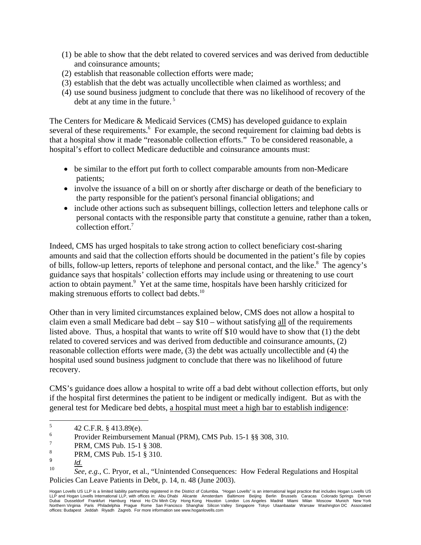- (1) be able to show that the debt related to covered services and was derived from deductible and coinsurance amounts;
- (2) establish that reasonable collection efforts were made;
- (3) establish that the debt was actually uncollectible when claimed as worthless; and
- (4) use sound business judgment to conclude that there was no likelihood of recovery of the debt at any time in the future. 5

The Centers for Medicare & Medicaid Services (CMS) has developed guidance to explain several of these requirements.<sup>6</sup> For example, the second requirement for claiming bad debts is that a hospital show it made "reasonable collection efforts." To be considered reasonable, a hospital's effort to collect Medicare deductible and coinsurance amounts must:

- be similar to the effort put forth to collect comparable amounts from non-Medicare patients;
- involve the issuance of a bill on or shortly after discharge or death of the beneficiary to the party responsible for the patient's personal financial obligations; and
- include other actions such as subsequent billings, collection letters and telephone calls or personal contacts with the responsible party that constitute a genuine, rather than a token, collection effort.7

Indeed, CMS has urged hospitals to take strong action to collect beneficiary cost-sharing amounts and said that the collection efforts should be documented in the patient's file by copies of bills, follow-up letters, reports of telephone and personal contact, and the like.<sup>8</sup> The agency's guidance says that hospitals' collection efforts may include using or threatening to use court action to obtain payment.<sup>9</sup> Yet at the same time, hospitals have been harshly criticized for making strenuous efforts to collect bad debts.<sup>10</sup>

Other than in very limited circumstances explained below, CMS does not allow a hospital to claim even a small Medicare bad debt – say  $$10 - without satisfying all of the requirements$ listed above. Thus, a hospital that wants to write off \$10 would have to show that (1) the debt related to covered services and was derived from deductible and coinsurance amounts, (2) reasonable collection efforts were made, (3) the debt was actually uncollectible and (4) the hospital used sound business judgment to conclude that there was no likelihood of future recovery.

CMS's guidance does allow a hospital to write off a bad debt without collection efforts, but only if the hospital first determines the patient to be indigent or medically indigent. But as with the general test for Medicare bed debts, a hospital must meet a high bar to establish indigence:

 5 42 C.F.R. § 413.89(e).

<sup>6</sup> Provider Reimbursement Manual (PRM), CMS Pub. 15-1 §§ 308, 310.

<sup>7</sup> PRM, CMS Pub. 15-1 § 308.

<sup>8</sup> PRM, CMS Pub. 15-1 § 310.

<sup>9</sup>  $\frac{9}{10}$   $\frac{Id.}{S_{c}}$ 

<sup>10</sup> *See, e.g.*, C. Pryor, et al., "Unintended Consequences: How Federal Regulations and Hospital Policies Can Leave Patients in Debt, p. 14, n. 48 (June 2003).

Hogan Lovells US LLP is a limited liability partnership registered in the District of Columbia. "Hogan Lovells" is an international legal practice that includes Hogan Lovells US LLP and Hogan Lovells International LLP, with offices in: Abu Dhabi Alicante Amsterdam Baltimore Beijing Berlin Brussels Caracas Colorado Springs Denver<br>Dubai Dusseldorf Frankfurt Hamburg Hanoi HoChi-Minh-City Hong-Kong Ho Northern Virginia Paris Philadelphia Prague Rome San Francisco Shanghai Silicon Valley Singapore Tokyo Ulaanbaatar Warsaw Washington DC Associated offices: Budapest Jeddah Riyadh Zagreb. For more information see www.hoganlovells.com